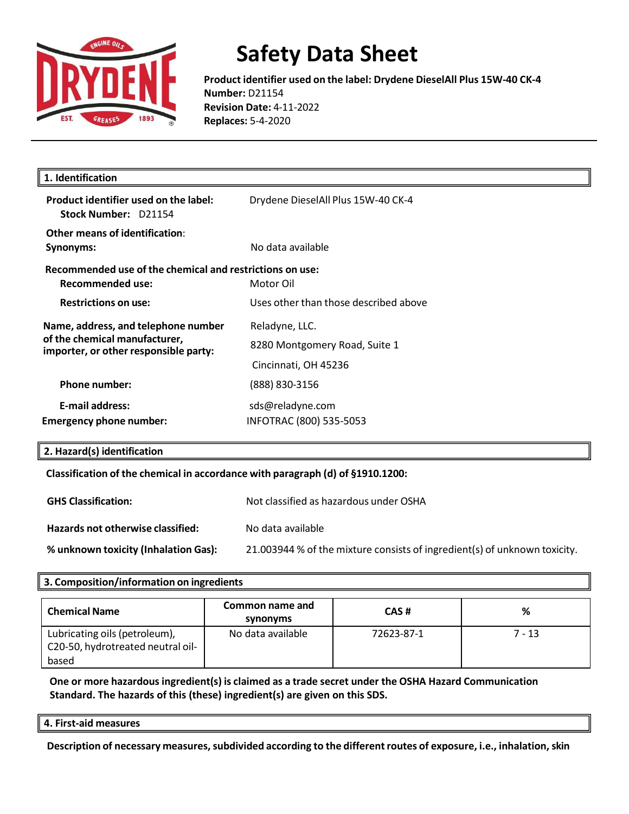

**Product identifier used on the label: Drydene DieselAll Plus 15W-40 CK-4 Number:** D21154 **Revision Date:** 4-11-2022 **Replaces:** 5-4-2020

| Drydene DieselAll Plus 15W-40 CK-4                                      |
|-------------------------------------------------------------------------|
| No data available                                                       |
| Recommended use of the chemical and restrictions on use:<br>Motor Oil   |
| Uses other than those described above                                   |
| Reladyne, LLC.<br>8280 Montgomery Road, Suite 1<br>Cincinnati, OH 45236 |
| (888) 830-3156                                                          |
| sds@reladyne.com<br>INFOTRAC (800) 535-5053                             |
|                                                                         |

#### **2. Hazard(s) identification**

**Classification of the chemical in accordance with paragraph (d) of §1910.1200:**

| <b>GHS Classification:</b>           | Not classified as hazardous under OSHA                                    |
|--------------------------------------|---------------------------------------------------------------------------|
| Hazards not otherwise classified:    | No data available                                                         |
| % unknown toxicity (Inhalation Gas): | 21.003944 % of the mixture consists of ingredient(s) of unknown toxicity. |

#### **3. Composition/information on ingredients**

| <b>Chemical Name</b>                                                        | Common name and<br>synonyms | CAS#       | ℅      |
|-----------------------------------------------------------------------------|-----------------------------|------------|--------|
| Lubricating oils (petroleum),<br>C20-50, hydrotreated neutral oil-<br>based | No data available           | 72623-87-1 | 7 - 13 |

**One or more hazardousingredient(s) is claimed as a trade secret under the OSHA Hazard Communication Standard. The hazards of this (these) ingredient(s) are given on this SDS.**

**4. First-aid measures**

**Description of necessary measures,subdivided according to the differentroutes of exposure, i.e., inhalation,skin**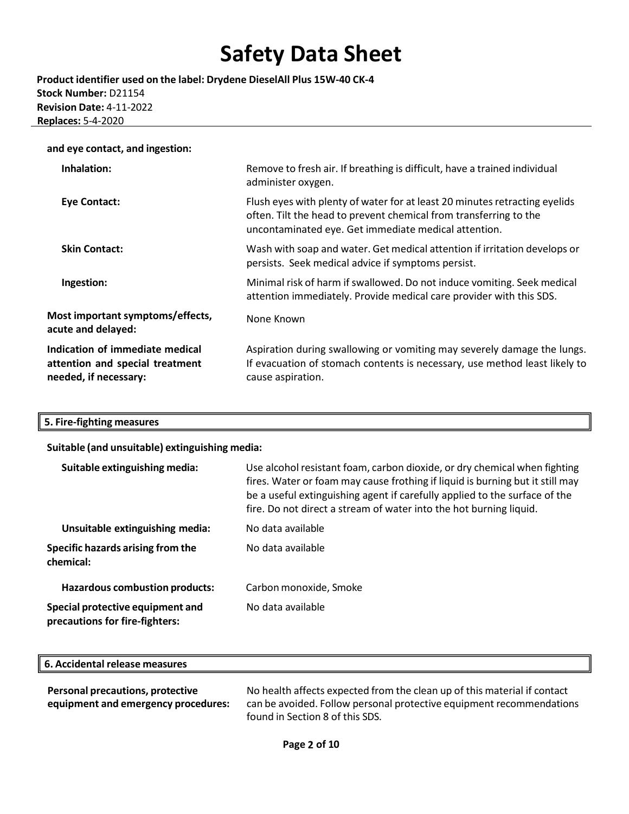**Product identifier used on the label: Drydene DieselAll Plus 15W-40 CK-4 Stock Number:** D21154 **Revision Date:** 4-11-2022 **Replaces:** 5-4-2020

| and eye contact, and ingestion: |     |
|---------------------------------|-----|
| Inhalation:                     | Rem |

| Inhalation:                                                                                 | Remove to fresh air. If breathing is difficult, have a trained individual<br>administer oxygen.                                                                                                         |
|---------------------------------------------------------------------------------------------|---------------------------------------------------------------------------------------------------------------------------------------------------------------------------------------------------------|
| <b>Eye Contact:</b>                                                                         | Flush eyes with plenty of water for at least 20 minutes retracting eyelids<br>often. Tilt the head to prevent chemical from transferring to the<br>uncontaminated eye. Get immediate medical attention. |
| <b>Skin Contact:</b>                                                                        | Wash with soap and water. Get medical attention if irritation develops or<br>persists. Seek medical advice if symptoms persist.                                                                         |
| Ingestion:                                                                                  | Minimal risk of harm if swallowed. Do not induce vomiting. Seek medical<br>attention immediately. Provide medical care provider with this SDS.                                                          |
| Most important symptoms/effects,<br>acute and delayed:                                      | None Known                                                                                                                                                                                              |
| Indication of immediate medical<br>attention and special treatment<br>needed, if necessary: | Aspiration during swallowing or vomiting may severely damage the lungs.<br>If evacuation of stomach contents is necessary, use method least likely to<br>cause aspiration.                              |

### **5. Fire-fighting measures**

| Suitable (and unsuitable) extinguishing media:                     |                                                                                                                                                                                                                                                                                                                |
|--------------------------------------------------------------------|----------------------------------------------------------------------------------------------------------------------------------------------------------------------------------------------------------------------------------------------------------------------------------------------------------------|
| Suitable extinguishing media:                                      | Use alcohol resistant foam, carbon dioxide, or dry chemical when fighting<br>fires. Water or foam may cause frothing if liquid is burning but it still may<br>be a useful extinguishing agent if carefully applied to the surface of the<br>fire. Do not direct a stream of water into the hot burning liquid. |
| Unsuitable extinguishing media:                                    | No data available                                                                                                                                                                                                                                                                                              |
| Specific hazards arising from the<br>chemical:                     | No data available                                                                                                                                                                                                                                                                                              |
| <b>Hazardous combustion products:</b>                              | Carbon monoxide, Smoke                                                                                                                                                                                                                                                                                         |
| Special protective equipment and<br>precautions for fire-fighters: | No data available                                                                                                                                                                                                                                                                                              |

| measures<br>.<br>J.<br>.<br>reicose<br>------ |  |
|-----------------------------------------------|--|

| Personal precautions, protective    | No health affects expected from the clean up of this material if contact |
|-------------------------------------|--------------------------------------------------------------------------|
| equipment and emergency procedures: | can be avoided. Follow personal protective equipment recommendations     |
|                                     | found in Section 8 of this SDS.                                          |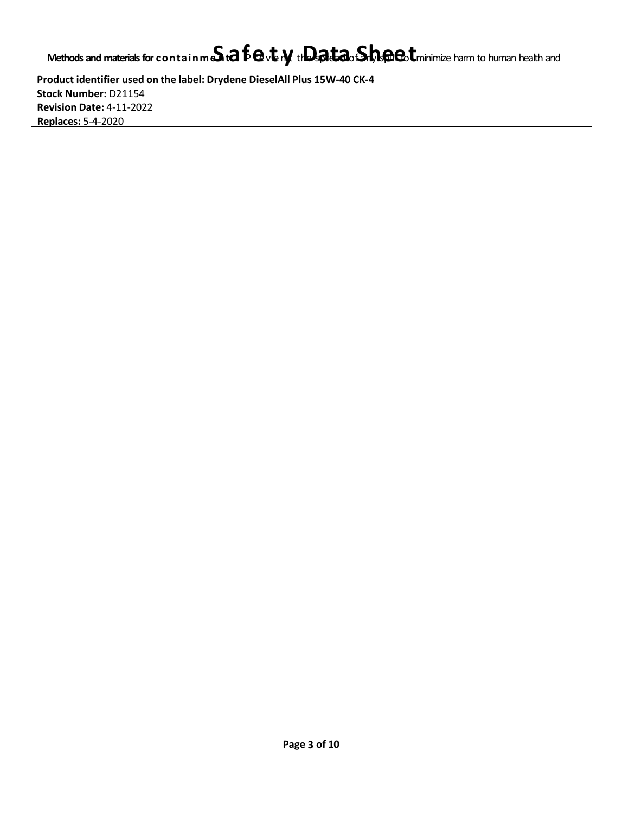### **Methods and materialsfor containmeSntaf**P**e**rev**t**en**y**<sup>t</sup> th**D**<sup>e</sup> <sup>s</sup>**a**pre**t**a**a**<sup>d</sup> of**S**an**h**<sup>y</sup> <sup>s</sup>**e**pil**e**<sup>l</sup> to**t**minimize harm to human health and

**Product identifier used on the label: Drydene DieselAll Plus 15W-40 CK-4 Stock Number:** D21154 **Revision Date:** 4-11-2022 **Replaces:** 5-4-2020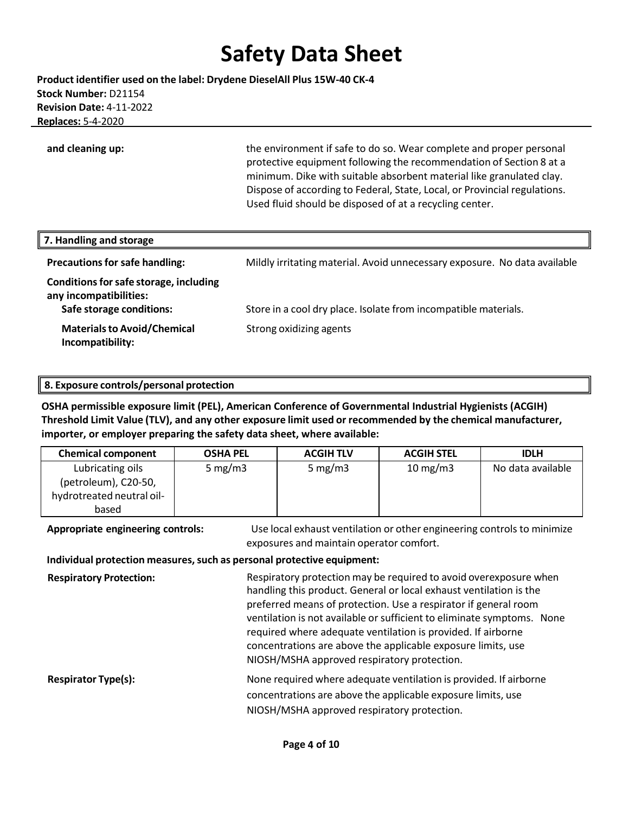**Product identifier used on the label: Drydene DieselAll Plus 15W-40 CK-4 Stock Number:** D21154 **Revision Date:** 4-11-2022 **Replaces:** 5-4-2020

**and cleaning up:** the environment if safe to do so. Wear complete and proper personal protective equipment following the recommendation of Section 8 at a minimum. Dike with suitable absorbent material like granulated clay. Dispose of according to Federal, State, Local, or Provincial regulations. Used fluid should be disposed of at a recycling center.

| 7. Handling and storage                                                                      |                                                                           |
|----------------------------------------------------------------------------------------------|---------------------------------------------------------------------------|
| <b>Precautions for safe handling:</b>                                                        | Mildly irritating material. Avoid unnecessary exposure. No data available |
| Conditions for safe storage, including<br>any incompatibilities:<br>Safe storage conditions: | Store in a cool dry place. Isolate from incompatible materials.           |
| <b>Materials to Avoid/Chemical</b><br>Incompatibility:                                       | Strong oxidizing agents                                                   |

#### **8. Exposure controls/personal protection**

**OSHA permissible exposure limit (PEL), American Conference of Governmental Industrial Hygienists (ACGIH) Threshold Limit Value (TLV), and any other exposure limit used or recommended by the chemical manufacturer, importer, or employer preparing the safety data sheet, where available:**

| <b>Chemical component</b> | <b>OSHA PEL</b> | <b>ACGIH TLV</b> | <b>ACGIH STEL</b> | <b>IDLH</b>       |
|---------------------------|-----------------|------------------|-------------------|-------------------|
| Lubricating oils          | 5 mg/m $3$      | 5 mg/m $3$       | $10 \text{ mg/m}$ | No data available |
| (petroleum), C20-50,      |                 |                  |                   |                   |
| hydrotreated neutral oil- |                 |                  |                   |                   |
| based                     |                 |                  |                   |                   |

**Appropriate engineering controls:** Use local exhaust ventilation or other engineering controls to minimize exposures and maintain operator comfort.

**Individual protection measures,such as personal protective equipment:**

**Respiratory Protection:** Respiratory protection may be required to avoid overexposure when handling this product. General or local exhaust ventilation is the preferred means of protection. Use a respirator if general room ventilation is not available or sufficient to eliminate symptoms. None required where adequate ventilation is provided. If airborne concentrations are above the applicable exposure limits, use NIOSH/MSHA approved respiratory protection. **Respirator Type(s):** None required where adequate ventilation is provided. If airborne concentrations are above the applicable exposure limits, use NIOSH/MSHA approved respiratory protection.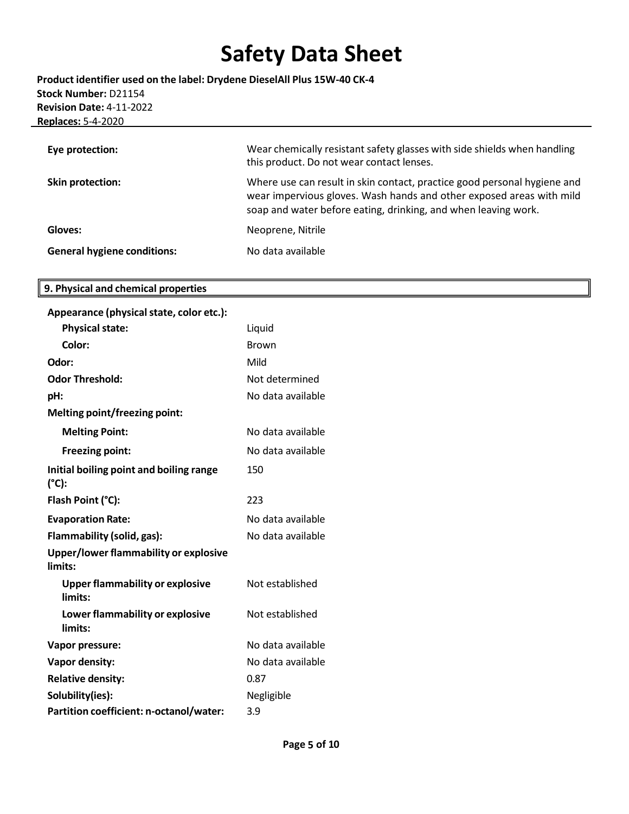**Product identifier used on the label: Drydene DieselAll Plus 15W-40 CK-4 Stock Number:** D21154 **Revision Date:** 4-11-2022 **Replaces:** 5-4-2020

| Eye protection:                    | Wear chemically resistant safety glasses with side shields when handling<br>this product. Do not wear contact lenses.                                                                                              |
|------------------------------------|--------------------------------------------------------------------------------------------------------------------------------------------------------------------------------------------------------------------|
| Skin protection:                   | Where use can result in skin contact, practice good personal hygiene and<br>wear impervious gloves. Wash hands and other exposed areas with mild<br>soap and water before eating, drinking, and when leaving work. |
| Gloves:                            | Neoprene, Nitrile                                                                                                                                                                                                  |
| <b>General hygiene conditions:</b> | No data available                                                                                                                                                                                                  |

### **9. Physical and chemical properties**

| Appearance (physical state, color etc.):          |                   |
|---------------------------------------------------|-------------------|
| <b>Physical state:</b>                            | Liquid            |
| Color:                                            | <b>Brown</b>      |
| Odor:                                             | Mild              |
| <b>Odor Threshold:</b>                            | Not determined    |
| pH:                                               | No data available |
| Melting point/freezing point:                     |                   |
| <b>Melting Point:</b>                             | No data available |
| <b>Freezing point:</b>                            | No data available |
| Initial boiling point and boiling range<br>(°C):  | 150               |
| Flash Point (°C):                                 | 223               |
| <b>Evaporation Rate:</b>                          | No data available |
| Flammability (solid, gas):                        | No data available |
| Upper/lower flammability or explosive<br>limits:  |                   |
| <b>Upper flammability or explosive</b><br>limits: | Not established   |
| Lower flammability or explosive<br>limits:        | Not established   |
| Vapor pressure:                                   | No data available |
| <b>Vapor density:</b>                             | No data available |
| <b>Relative density:</b>                          | 0.87              |
| Solubility(ies):                                  | Negligible        |
| Partition coefficient: n-octanol/water:           | 3.9               |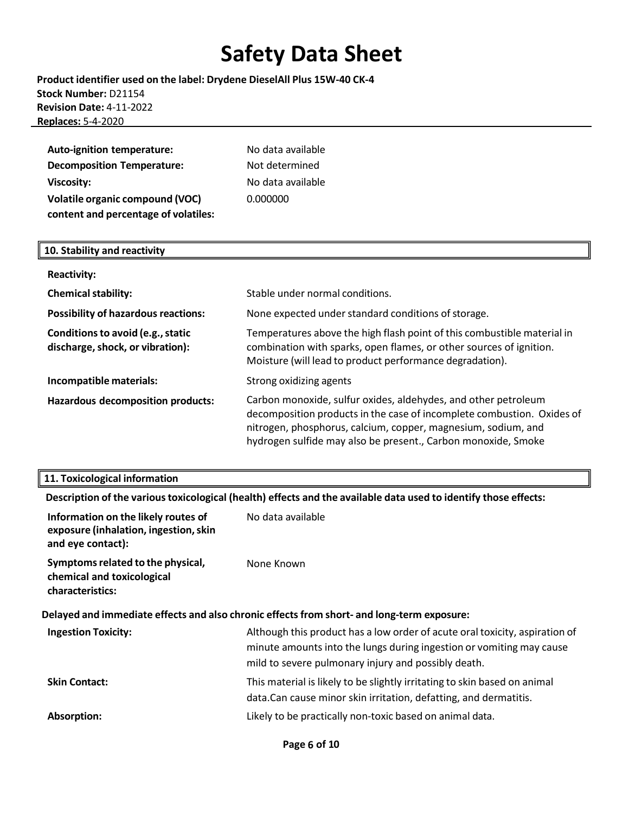**Product identifier used on the label: Drydene DieselAll Plus 15W-40 CK-4 Stock Number:** D21154 **Revision Date:** 4-11-2022 **Replaces:** 5-4-2020

| <b>Auto-ignition temperature:</b>      | No data available |
|----------------------------------------|-------------------|
| <b>Decomposition Temperature:</b>      | Not determined    |
| <b>Viscosity:</b>                      | No data available |
| <b>Volatile organic compound (VOC)</b> | 0.000000          |
| content and percentage of volatiles:   |                   |

### **10. Stability and reactivity**

| <b>Reactivity:</b>                                                    |                                                                                                                                                                                                                                                                            |
|-----------------------------------------------------------------------|----------------------------------------------------------------------------------------------------------------------------------------------------------------------------------------------------------------------------------------------------------------------------|
| <b>Chemical stability:</b>                                            | Stable under normal conditions.                                                                                                                                                                                                                                            |
| <b>Possibility of hazardous reactions:</b>                            | None expected under standard conditions of storage.                                                                                                                                                                                                                        |
| Conditions to avoid (e.g., static<br>discharge, shock, or vibration): | Temperatures above the high flash point of this combustible material in<br>combination with sparks, open flames, or other sources of ignition.<br>Moisture (will lead to product performance degradation).                                                                 |
| Incompatible materials:                                               | Strong oxidizing agents                                                                                                                                                                                                                                                    |
| <b>Hazardous decomposition products:</b>                              | Carbon monoxide, sulfur oxides, aldehydes, and other petroleum<br>decomposition products in the case of incomplete combustion. Oxides of<br>nitrogen, phosphorus, calcium, copper, magnesium, sodium, and<br>hydrogen sulfide may also be present., Carbon monoxide, Smoke |

#### **11. Toxicological information**

**Description of the varioustoxicological (health) effects and the available data used to identify those effects:**

| Information on the likely routes of<br>exposure (inhalation, ingestion, skin<br>and eye contact): | No data available                                                                                                                                                                                          |
|---------------------------------------------------------------------------------------------------|------------------------------------------------------------------------------------------------------------------------------------------------------------------------------------------------------------|
| Symptoms related to the physical,<br>chemical and toxicological<br>characteristics:               | None Known                                                                                                                                                                                                 |
|                                                                                                   | Delayed and immediate effects and also chronic effects from short- and long-term exposure:                                                                                                                 |
| <b>Ingestion Toxicity:</b>                                                                        | Although this product has a low order of acute oral toxicity, aspiration of<br>minute amounts into the lungs during ingestion or vomiting may cause<br>mild to severe pulmonary injury and possibly death. |
| <b>Skin Contact:</b>                                                                              | This material is likely to be slightly irritating to skin based on animal<br>data. Can cause minor skin irritation, defatting, and dermatitis.                                                             |
| Absorption:                                                                                       | Likely to be practically non-toxic based on animal data.                                                                                                                                                   |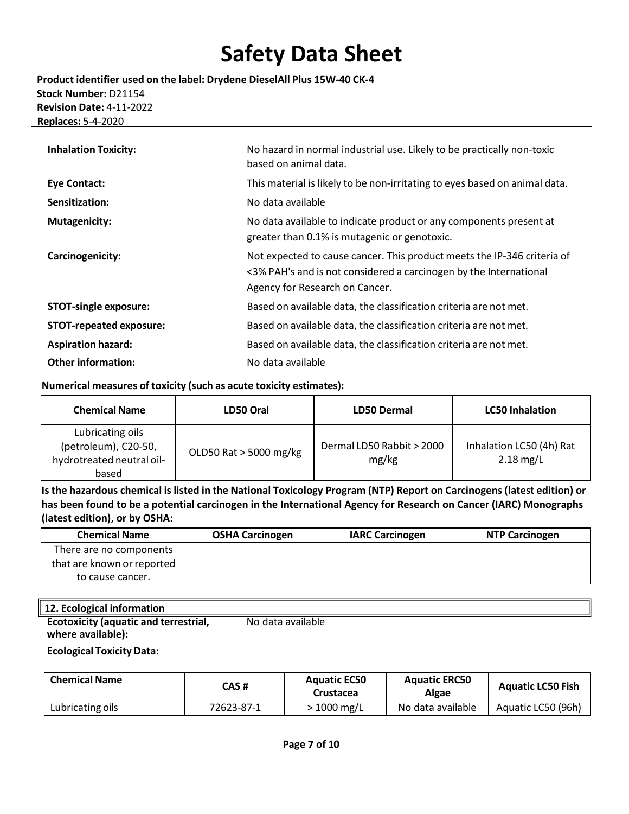**Product identifier used on the label: Drydene DieselAll Plus 15W-40 CK-4 Stock Number:** D21154 **Revision Date:** 4-11-2022 **Replaces:** 5-4-2020

| <b>Inhalation Toxicity:</b>    | No hazard in normal industrial use. Likely to be practically non-toxic<br>based on animal data.                                                                                |
|--------------------------------|--------------------------------------------------------------------------------------------------------------------------------------------------------------------------------|
| <b>Eye Contact:</b>            | This material is likely to be non-irritating to eyes based on animal data.                                                                                                     |
| Sensitization:                 | No data available                                                                                                                                                              |
| <b>Mutagenicity:</b>           | No data available to indicate product or any components present at<br>greater than 0.1% is mutagenic or genotoxic.                                                             |
| Carcinogenicity:               | Not expected to cause cancer. This product meets the IP-346 criteria of<br><3% PAH's and is not considered a carcinogen by the International<br>Agency for Research on Cancer. |
| <b>STOT-single exposure:</b>   | Based on available data, the classification criteria are not met.                                                                                                              |
| <b>STOT-repeated exposure:</b> | Based on available data, the classification criteria are not met.                                                                                                              |
| <b>Aspiration hazard:</b>      | Based on available data, the classification criteria are not met.                                                                                                              |
| <b>Other information:</b>      | No data available                                                                                                                                                              |

#### **Numerical measures of toxicity (such as acute toxicity estimates):**

| <b>Chemical Name</b>                                                           | LD50 Oral              | <b>LD50 Dermal</b>                 | <b>LC50 Inhalation</b>                  |
|--------------------------------------------------------------------------------|------------------------|------------------------------------|-----------------------------------------|
| Lubricating oils<br>(petroleum), C20-50,<br>hydrotreated neutral oil-<br>based | OLD50 Rat > 5000 mg/kg | Dermal LD50 Rabbit > 2000<br>mg/kg | Inhalation LC50 (4h) Rat<br>$2.18$ mg/L |

Is the hazardous chemical is listed in the National Toxicology Program (NTP) Report on Carcinogens (latest edition) or **has been found to be a potential carcinogen in the International Agency for Research on Cancer (IARC) Monographs (latest edition), or by OSHA:**

| <b>Chemical Name</b>       | <b>OSHA Carcinogen</b> | <b>IARC Carcinogen</b> | <b>NTP Carcinogen</b> |
|----------------------------|------------------------|------------------------|-----------------------|
| There are no components    |                        |                        |                       |
| that are known or reported |                        |                        |                       |
| to cause cancer.           |                        |                        |                       |

### **12. Ecological information**

**Ecotoxicity (aquatic and terrestrial, where available):**  No data available

#### **Ecological Toxicity Data:**

| <b>Chemical Name</b> | CAS #      | <b>Aquatic EC50</b><br>Crustacea | <b>Aquatic ERC50</b><br>Algae | <b>Aquatic LC50 Fish</b> |
|----------------------|------------|----------------------------------|-------------------------------|--------------------------|
| Lubricating oils     | 72623-87-1 | $1000 \,\mathrm{mg/L}$           | No data available             | Aquatic LC50 (96h)       |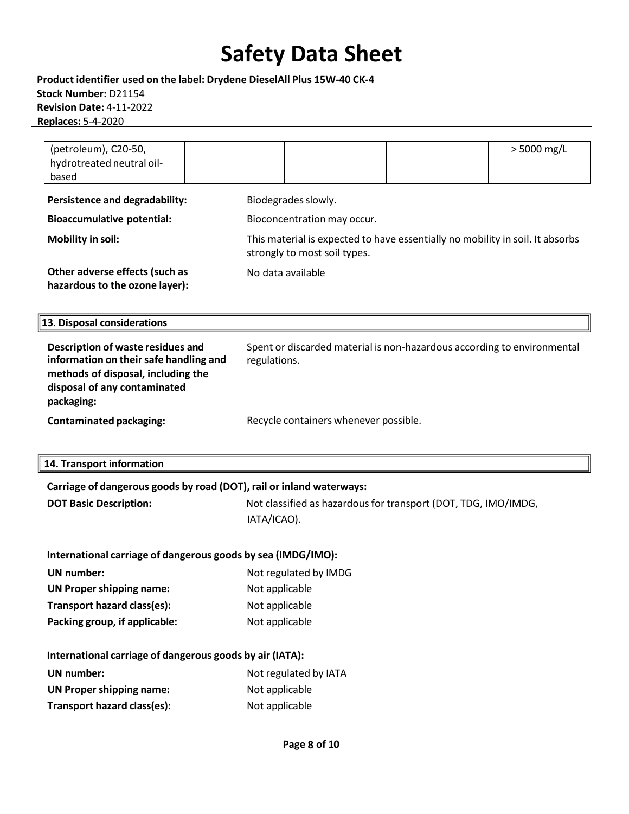**Product identifier used on the label: Drydene DieselAll Plus 15W-40 CK-4 Stock Number:** D21154 **Revision Date:** 4-11-2022 **Replaces:** 5-4-2020

| (petroleum), C20-50,<br>hydrotreated neutral oil-<br>based                                                                                                      | > 5000 mg/L                                                                                                   |  |  |
|-----------------------------------------------------------------------------------------------------------------------------------------------------------------|---------------------------------------------------------------------------------------------------------------|--|--|
| <b>Persistence and degradability:</b>                                                                                                                           | Biodegrades slowly.                                                                                           |  |  |
| <b>Bioaccumulative potential:</b>                                                                                                                               | Bioconcentration may occur.                                                                                   |  |  |
| <b>Mobility in soil:</b>                                                                                                                                        | This material is expected to have essentially no mobility in soil. It absorbs<br>strongly to most soil types. |  |  |
| Other adverse effects (such as<br>hazardous to the ozone layer):                                                                                                | No data available                                                                                             |  |  |
| 13. Disposal considerations                                                                                                                                     |                                                                                                               |  |  |
| Description of waste residues and<br>information on their safe handling and<br>methods of disposal, including the<br>disposal of any contaminated<br>packaging: | Spent or discarded material is non-hazardous according to environmental<br>regulations.                       |  |  |
| <b>Contaminated packaging:</b>                                                                                                                                  | Recycle containers whenever possible.                                                                         |  |  |
| 14. Transport information                                                                                                                                       |                                                                                                               |  |  |
| Carriage of dangerous goods by road (DOT), rail or inland waterways:                                                                                            |                                                                                                               |  |  |
| <b>DOT Basic Description:</b>                                                                                                                                   | Not classified as hazardous for transport (DOT, TDG, IMO/IMDG,<br>IATA/ICAO).                                 |  |  |
| International carriage of dangerous goods by sea (IMDG/IMO):                                                                                                    |                                                                                                               |  |  |
| <b>UN</b> number:                                                                                                                                               | Not regulated by IMDG                                                                                         |  |  |
| <b>UN Proper shipping name:</b>                                                                                                                                 | Not applicable                                                                                                |  |  |
| Transport hazard class(es):                                                                                                                                     | Not applicable                                                                                                |  |  |
| Packing group, if applicable:                                                                                                                                   | Not applicable                                                                                                |  |  |
|                                                                                                                                                                 |                                                                                                               |  |  |
| International carriage of dangerous goods by air (IATA):                                                                                                        |                                                                                                               |  |  |
| <b>UN</b> number:                                                                                                                                               | Not regulated by IATA                                                                                         |  |  |
| <b>UN Proper shipping name:</b>                                                                                                                                 | Not applicable                                                                                                |  |  |
| Transport hazard class(es):                                                                                                                                     | Not applicable                                                                                                |  |  |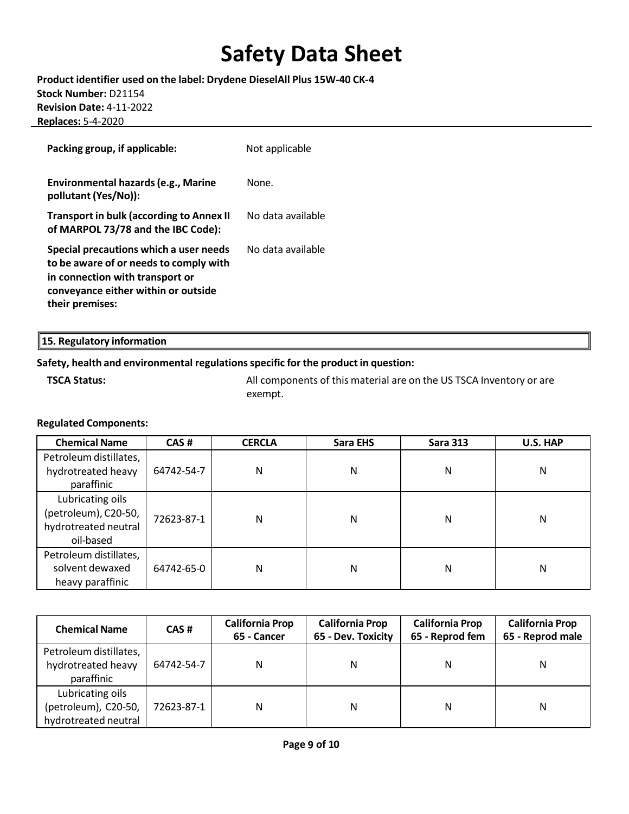**Product identifier used on the label: Drydene DieselAll Plus 15W-40 CK-4 Stock Number:** D21154 **Revision Date:** 4-11-2022 **Replaces:** 5-4-2020

| Packing group, if applicable:                                                                                                                                                 | Not applicable    |
|-------------------------------------------------------------------------------------------------------------------------------------------------------------------------------|-------------------|
| Environmental hazards (e.g., Marine<br>pollutant (Yes/No)):                                                                                                                   | None.             |
| <b>Transport in bulk (according to Annex II</b><br>of MARPOL 73/78 and the IBC Code):                                                                                         | No data available |
| Special precautions which a user needs<br>to be aware of or needs to comply with<br>in connection with transport or<br>conveyance either within or outside<br>their premises: | No data available |

**15. Regulatory information**

### **Safety, health and environmental regulationsspecific for the product in question:**

**TSCA Status:** All components of this material are on the US TSCA Inventory or are exempt.

#### **Regulated Components:**

| <b>Chemical Name</b>   | CAS#       | <b>CERCLA</b> | Sara EHS | <b>Sara 313</b> | U.S. HAP |
|------------------------|------------|---------------|----------|-----------------|----------|
| Petroleum distillates, |            |               |          |                 |          |
| hydrotreated heavy     | 64742-54-7 | N             | N        | N               | N        |
| paraffinic             |            |               |          |                 |          |
| Lubricating oils       |            |               |          |                 |          |
| (petroleum), C20-50,   | 72623-87-1 | Ν             | N        | N               | N        |
| hydrotreated neutral   |            |               |          |                 |          |
| oil-based              |            |               |          |                 |          |
| Petroleum distillates, |            |               |          |                 |          |
| solvent dewaxed        | 64742-65-0 | Ν             | N        | N               | N        |
| heavy paraffinic       |            |               |          |                 |          |

| <b>Chemical Name</b>                                             | CAS#       | <b>California Prop</b><br>65 - Cancer | <b>California Prop</b><br>65 - Dev. Toxicity | <b>California Prop</b><br>65 - Reprod fem | <b>California Prop</b><br>65 - Reprod male |
|------------------------------------------------------------------|------------|---------------------------------------|----------------------------------------------|-------------------------------------------|--------------------------------------------|
| Petroleum distillates,<br>hydrotreated heavy<br>paraffinic       | 64742-54-7 | N                                     | N                                            | N                                         | N                                          |
| Lubricating oils<br>(petroleum), C20-50,<br>hydrotreated neutral | 72623-87-1 | N                                     | N                                            | N                                         | N                                          |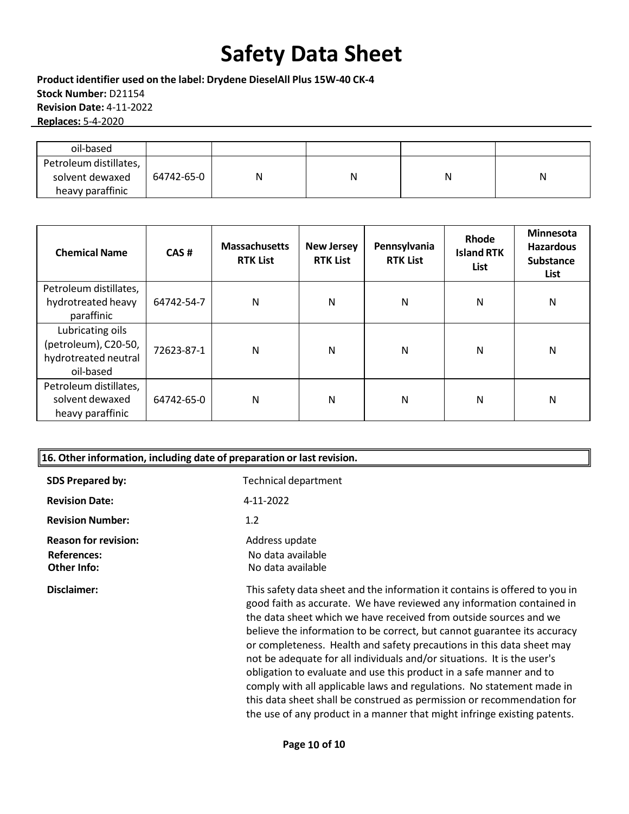**Product identifier used on the label: Drydene DieselAll Plus 15W-40 CK-4 Stock Number:** D21154 **Revision Date:** 4-11-2022 **Replaces:** 5-4-2020

| oil-based                                                     |            |   |   |   |
|---------------------------------------------------------------|------------|---|---|---|
| Petroleum distillates,<br>solvent dewaxed<br>heavy paraffinic | 64742-65-0 | N | N | N |

| <b>Chemical Name</b>                                                          | CAS#       | <b>Massachusetts</b><br><b>RTK List</b> | <b>New Jersey</b><br><b>RTK List</b> | Pennsylvania<br><b>RTK List</b> | Rhode<br><b>Island RTK</b><br>List | Minnesota<br><b>Hazardous</b><br><b>Substance</b><br>List |
|-------------------------------------------------------------------------------|------------|-----------------------------------------|--------------------------------------|---------------------------------|------------------------------------|-----------------------------------------------------------|
| Petroleum distillates,                                                        | 64742-54-7 | N                                       | N                                    | N                               | N                                  | N                                                         |
| hydrotreated heavy<br>paraffinic                                              |            |                                         |                                      |                                 |                                    |                                                           |
| Lubricating oils<br>(petroleum), C20-50,<br>hydrotreated neutral<br>oil-based | 72623-87-1 | N                                       | N                                    | N                               | N                                  | N                                                         |
| Petroleum distillates,<br>solvent dewaxed<br>heavy paraffinic                 | 64742-65-0 | N                                       | N                                    | N                               | N                                  | N                                                         |

| 16. Other information, including date of preparation or last revision. |                                                                                                                                                                                                                                                                                                                                                                                                                                                                                                                                                                                                                                                                                                                                                                 |  |  |  |
|------------------------------------------------------------------------|-----------------------------------------------------------------------------------------------------------------------------------------------------------------------------------------------------------------------------------------------------------------------------------------------------------------------------------------------------------------------------------------------------------------------------------------------------------------------------------------------------------------------------------------------------------------------------------------------------------------------------------------------------------------------------------------------------------------------------------------------------------------|--|--|--|
| <b>SDS Prepared by:</b>                                                | <b>Technical department</b>                                                                                                                                                                                                                                                                                                                                                                                                                                                                                                                                                                                                                                                                                                                                     |  |  |  |
| <b>Revision Date:</b>                                                  | 4-11-2022                                                                                                                                                                                                                                                                                                                                                                                                                                                                                                                                                                                                                                                                                                                                                       |  |  |  |
| <b>Revision Number:</b>                                                | 1.2                                                                                                                                                                                                                                                                                                                                                                                                                                                                                                                                                                                                                                                                                                                                                             |  |  |  |
| <b>Reason for revision:</b><br><b>References:</b><br>Other Info:       | Address update<br>No data available<br>No data available                                                                                                                                                                                                                                                                                                                                                                                                                                                                                                                                                                                                                                                                                                        |  |  |  |
| Disclaimer:                                                            | This safety data sheet and the information it contains is offered to you in<br>good faith as accurate. We have reviewed any information contained in<br>the data sheet which we have received from outside sources and we<br>believe the information to be correct, but cannot guarantee its accuracy<br>or completeness. Health and safety precautions in this data sheet may<br>not be adequate for all individuals and/or situations. It is the user's<br>obligation to evaluate and use this product in a safe manner and to<br>comply with all applicable laws and regulations. No statement made in<br>this data sheet shall be construed as permission or recommendation for<br>the use of any product in a manner that might infringe existing patents. |  |  |  |